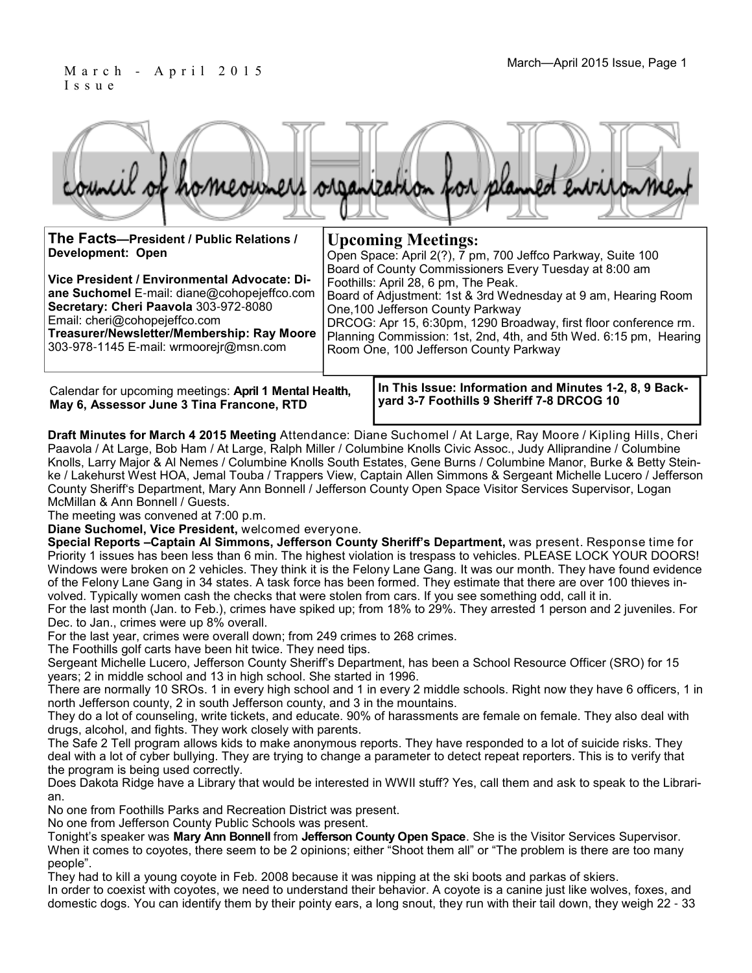#### M a r c h - A p r i l 2 0 1 5 I s s u e

| council of homeowners organization for planned environment |  |  |
|------------------------------------------------------------|--|--|
|                                                            |  |  |

| The Facts-President / Public Relations /<br>Development: Open                                                                                                                                                                                                 | <b>Upcoming Meetings:</b><br>Open Space: April 2(?), 7 pm, 700 Jeffco Parkway, Suite 100<br>Board of County Commissioners Every Tuesday at 8:00 am |                                                                                                                                                                                                                                                                                                                                |  |
|---------------------------------------------------------------------------------------------------------------------------------------------------------------------------------------------------------------------------------------------------------------|----------------------------------------------------------------------------------------------------------------------------------------------------|--------------------------------------------------------------------------------------------------------------------------------------------------------------------------------------------------------------------------------------------------------------------------------------------------------------------------------|--|
| Vice President / Environmental Advocate: Di-<br>ane Suchomel E-mail: diane@cohopejeffco.com<br>Secretary: Cheri Paavola 303-972-8080<br>Email: cheri@cohopejeffco.com<br>Treasurer/Newsletter/Membership: Ray Moore<br>303-978-1145 E-mail: wrmooreir@msn.com |                                                                                                                                                    | Foothills: April 28, 6 pm, The Peak.<br>Board of Adjustment: 1st & 3rd Wednesday at 9 am, Hearing Room<br>One, 100 Jefferson County Parkway<br>DRCOG: Apr 15, 6:30pm, 1290 Broadway, first floor conference rm.<br>Planning Commission: 1st, 2nd, 4th, and 5th Wed. 6:15 pm, Hearing<br>Room One, 100 Jefferson County Parkway |  |
| Calendar for uncoming meetings: April 1 Montal Hoalth                                                                                                                                                                                                         |                                                                                                                                                    | In This Issue: Information and Minutes 1-2, 8, 9 Back-                                                                                                                                                                                                                                                                         |  |

Calendar for upcoming meetings: **April 1 Mental Health, May 6, Assessor June 3 Tina Francone, RTD**

**In This Issue: Information and Minutes 1-2, 8, 9 Backyard 3-7 Foothills 9 Sheriff 7-8 DRCOG 10**

**Draft Minutes for March 4 2015 Meeting** Attendance: Diane Suchomel / At Large, Ray Moore / Kipling Hills, Cheri Paavola / At Large, Bob Ham / At Large, Ralph Miller / Columbine Knolls Civic Assoc., Judy Alliprandine / Columbine Knolls, Larry Major & Al Nemes / Columbine Knolls South Estates, Gene Burns / Columbine Manor, Burke & Betty Steinke / Lakehurst West HOA, Jemal Touba / Trappers View, Captain Allen Simmons & Sergeant Michelle Lucero / Jefferson County Sheriff's Department, Mary Ann Bonnell / Jefferson County Open Space Visitor Services Supervisor, Logan McMillan & Ann Bonnell / Guests.

The meeting was convened at 7:00 p.m.

**Diane Suchomel, Vice President,** welcomed everyone.

**Special Reports –Captain Al Simmons, Jefferson County Sheriff's Department,** was present. Response time for Priority 1 issues has been less than 6 min. The highest violation is trespass to vehicles. PLEASE LOCK YOUR DOORS! Windows were broken on 2 vehicles. They think it is the Felony Lane Gang. It was our month. They have found evidence of the Felony Lane Gang in 34 states. A task force has been formed. They estimate that there are over 100 thieves involved. Typically women cash the checks that were stolen from cars. If you see something odd, call it in.

For the last month (Jan. to Feb.), crimes have spiked up; from 18% to 29%. They arrested 1 person and 2 juveniles. For Dec. to Jan., crimes were up 8% overall.

For the last year, crimes were overall down; from 249 crimes to 268 crimes.

The Foothills golf carts have been hit twice. They need tips.

Sergeant Michelle Lucero, Jefferson County Sheriff's Department, has been a School Resource Officer (SRO) for 15 years; 2 in middle school and 13 in high school. She started in 1996.

There are normally 10 SROs. 1 in every high school and 1 in every 2 middle schools. Right now they have 6 officers, 1 in north Jefferson county, 2 in south Jefferson county, and 3 in the mountains.

They do a lot of counseling, write tickets, and educate. 90% of harassments are female on female. They also deal with drugs, alcohol, and fights. They work closely with parents.

The Safe 2 Tell program allows kids to make anonymous reports. They have responded to a lot of suicide risks. They deal with a lot of cyber bullying. They are trying to change a parameter to detect repeat reporters. This is to verify that the program is being used correctly.

Does Dakota Ridge have a Library that would be interested in WWII stuff? Yes, call them and ask to speak to the Librarian.

No one from Foothills Parks and Recreation District was present.

No one from Jefferson County Public Schools was present.

Tonight's speaker was **Mary Ann Bonnell** from **Jefferson County Open Space**. She is the Visitor Services Supervisor. When it comes to coyotes, there seem to be 2 opinions; either "Shoot them all" or "The problem is there are too many people".

They had to kill a young coyote in Feb. 2008 because it was nipping at the ski boots and parkas of skiers. In order to coexist with coyotes, we need to understand their behavior. A coyote is a canine just like wolves, foxes, and domestic dogs. You can identify them by their pointy ears, a long snout, they run with their tail down, they weigh 22 - 33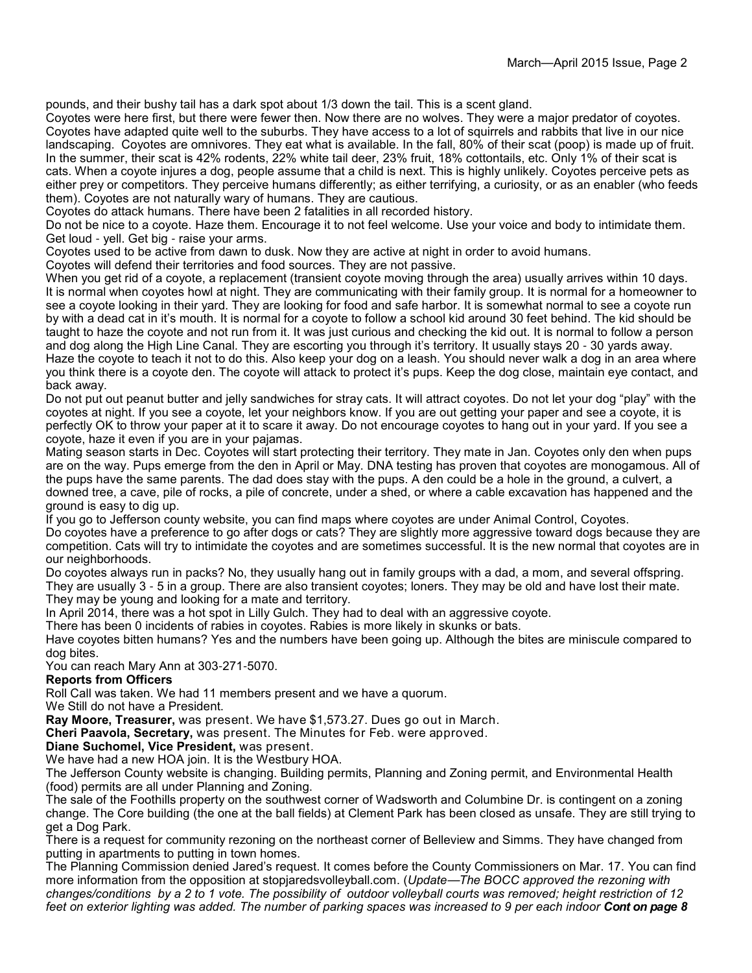pounds, and their bushy tail has a dark spot about 1/3 down the tail. This is a scent gland.

Coyotes were here first, but there were fewer then. Now there are no wolves. They were a major predator of coyotes. Coyotes have adapted quite well to the suburbs. They have access to a lot of squirrels and rabbits that live in our nice landscaping. Coyotes are omnivores. They eat what is available. In the fall, 80% of their scat (poop) is made up of fruit. In the summer, their scat is 42% rodents, 22% white tail deer, 23% fruit, 18% cottontails, etc. Only 1% of their scat is cats. When a coyote injures a dog, people assume that a child is next. This is highly unlikely. Coyotes perceive pets as either prey or competitors. They perceive humans differently; as either terrifying, a curiosity, or as an enabler (who feeds them). Coyotes are not naturally wary of humans. They are cautious.

Coyotes do attack humans. There have been 2 fatalities in all recorded history.

Do not be nice to a coyote. Haze them. Encourage it to not feel welcome. Use your voice and body to intimidate them. Get loud - yell. Get big - raise your arms.

Coyotes used to be active from dawn to dusk. Now they are active at night in order to avoid humans.

Coyotes will defend their territories and food sources. They are not passive.

When you get rid of a coyote, a replacement (transient coyote moving through the area) usually arrives within 10 days. It is normal when coyotes howl at night. They are communicating with their family group. It is normal for a homeowner to see a coyote looking in their yard. They are looking for food and safe harbor. It is somewhat normal to see a coyote run by with a dead cat in it's mouth. It is normal for a coyote to follow a school kid around 30 feet behind. The kid should be taught to haze the coyote and not run from it. It was just curious and checking the kid out. It is normal to follow a person and dog along the High Line Canal. They are escorting you through it's territory. It usually stays 20 - 30 yards away. Haze the coyote to teach it not to do this. Also keep your dog on a leash. You should never walk a dog in an area where you think there is a coyote den. The coyote will attack to protect it's pups. Keep the dog close, maintain eye contact, and back away.

Do not put out peanut butter and jelly sandwiches for stray cats. It will attract coyotes. Do not let your dog "play" with the coyotes at night. If you see a coyote, let your neighbors know. If you are out getting your paper and see a coyote, it is perfectly OK to throw your paper at it to scare it away. Do not encourage coyotes to hang out in your yard. If you see a coyote, haze it even if you are in your pajamas.

Mating season starts in Dec. Coyotes will start protecting their territory. They mate in Jan. Coyotes only den when pups are on the way. Pups emerge from the den in April or May. DNA testing has proven that coyotes are monogamous. All of the pups have the same parents. The dad does stay with the pups. A den could be a hole in the ground, a culvert, a downed tree, a cave, pile of rocks, a pile of concrete, under a shed, or where a cable excavation has happened and the ground is easy to dig up.

If you go to Jefferson county website, you can find maps where coyotes are under Animal Control, Coyotes.

Do coyotes have a preference to go after dogs or cats? They are slightly more aggressive toward dogs because they are competition. Cats will try to intimidate the coyotes and are sometimes successful. It is the new normal that coyotes are in our neighborhoods.

Do coyotes always run in packs? No, they usually hang out in family groups with a dad, a mom, and several offspring. They are usually 3 - 5 in a group. There are also transient coyotes; loners. They may be old and have lost their mate. They may be young and looking for a mate and territory.

In April 2014, there was a hot spot in Lilly Gulch. They had to deal with an aggressive coyote.

There has been 0 incidents of rabies in coyotes. Rabies is more likely in skunks or bats.

Have coyotes bitten humans? Yes and the numbers have been going up. Although the bites are miniscule compared to dog bites.

You can reach Mary Ann at 303-271-5070.

#### **Reports from Officers**

Roll Call was taken. We had 11 members present and we have a quorum.

We Still do not have a President.

**Ray Moore, Treasurer,** was present. We have \$1,573.27. Dues go out in March.

**Cheri Paavola, Secretary,** was present. The Minutes for Feb. were approved.

**Diane Suchomel, Vice President,** was present.

We have had a new HOA join. It is the Westbury HOA.

The Jefferson County website is changing. Building permits, Planning and Zoning permit, and Environmental Health (food) permits are all under Planning and Zoning.

The sale of the Foothills property on the southwest corner of Wadsworth and Columbine Dr. is contingent on a zoning change. The Core building (the one at the ball fields) at Clement Park has been closed as unsafe. They are still trying to get a Dog Park.

There is a request for community rezoning on the northeast corner of Belleview and Simms. They have changed from putting in apartments to putting in town homes.

The Planning Commission denied Jared's request. It comes before the County Commissioners on Mar. 17. You can find more information from the opposition at stopjaredsvolleyball.com. (*Update*—*The BOCC approved the rezoning with changes/conditions by a 2 to 1 vote. The possibility of outdoor volleyball courts was removed; height restriction of 12*  feet on exterior lighting was added. The number of parking spaces was increased to 9 per each indoor **Cont on page 8**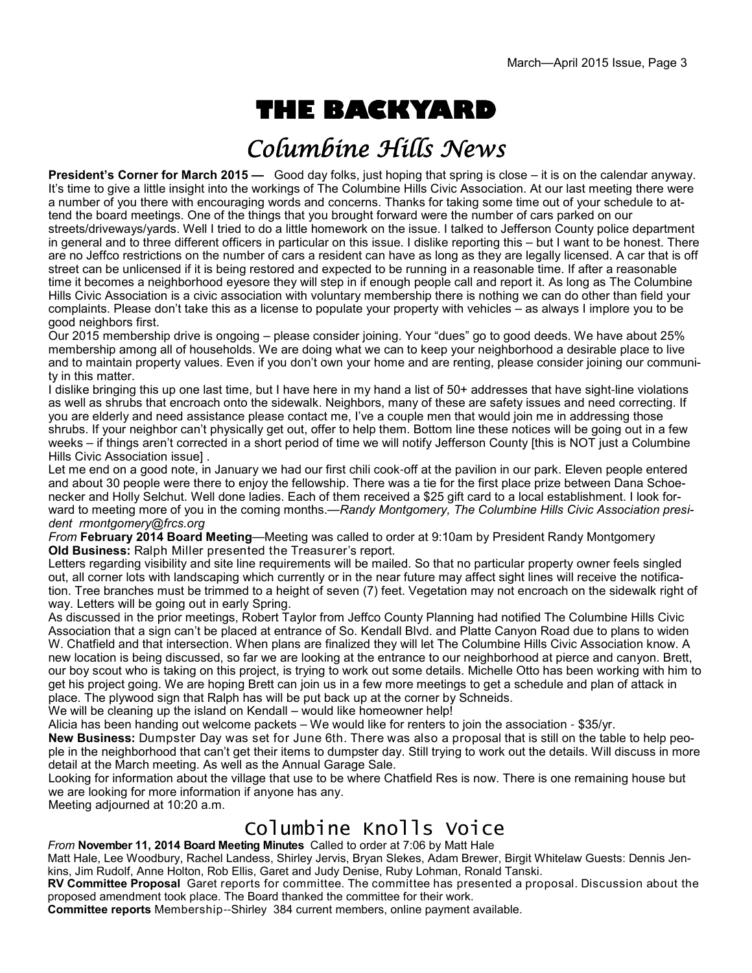# **THE BACKYARD**

# Columbine Hills News

**President's Corner for March 2015 — Good day folks, just hoping that spring is close – it is on the calendar anyway.** It's time to give a little insight into the workings of The Columbine Hills Civic Association. At our last meeting there were a number of you there with encouraging words and concerns. Thanks for taking some time out of your schedule to attend the board meetings. One of the things that you brought forward were the number of cars parked on our streets/driveways/yards. Well I tried to do a little homework on the issue. I talked to Jefferson County police department in general and to three different officers in particular on this issue. I dislike reporting this – but I want to be honest. There are no Jeffco restrictions on the number of cars a resident can have as long as they are legally licensed. A car that is off street can be unlicensed if it is being restored and expected to be running in a reasonable time. If after a reasonable time it becomes a neighborhood eyesore they will step in if enough people call and report it. As long as The Columbine Hills Civic Association is a civic association with voluntary membership there is nothing we can do other than field your complaints. Please don't take this as a license to populate your property with vehicles – as always I implore you to be good neighbors first.

Our 2015 membership drive is ongoing – please consider joining. Your "dues" go to good deeds. We have about 25% membership among all of households. We are doing what we can to keep your neighborhood a desirable place to live and to maintain property values. Even if you don't own your home and are renting, please consider joining our community in this matter.

I dislike bringing this up one last time, but I have here in my hand a list of 50+ addresses that have sight-line violations as well as shrubs that encroach onto the sidewalk. Neighbors, many of these are safety issues and need correcting. If you are elderly and need assistance please contact me, I've a couple men that would join me in addressing those shrubs. If your neighbor can't physically get out, offer to help them. Bottom line these notices will be going out in a few weeks – if things aren't corrected in a short period of time we will notify Jefferson County [this is NOT just a Columbine Hills Civic Association issue] .

Let me end on a good note, in January we had our first chili cook-off at the pavilion in our park. Eleven people entered and about 30 people were there to enjoy the fellowship. There was a tie for the first place prize between Dana Schoenecker and Holly Selchut. Well done ladies. Each of them received a \$25 gift card to a local establishment. I look forward to meeting more of you in the coming months.—*Randy Montgomery, The Columbine Hills Civic Association president rmontgomery@frcs.org* 

*From* **February 2014 Board Meeting**—Meeting was called to order at 9:10am by President Randy Montgomery **Old Business:** Ralph Miller presented the Treasurer's report.

Letters regarding visibility and site line requirements will be mailed. So that no particular property owner feels singled out, all corner lots with landscaping which currently or in the near future may affect sight lines will receive the notification. Tree branches must be trimmed to a height of seven (7) feet. Vegetation may not encroach on the sidewalk right of way. Letters will be going out in early Spring.

As discussed in the prior meetings, Robert Taylor from Jeffco County Planning had notified The Columbine Hills Civic Association that a sign can't be placed at entrance of So. Kendall Blvd. and Platte Canyon Road due to plans to widen W. Chatfield and that intersection. When plans are finalized they will let The Columbine Hills Civic Association know. A new location is being discussed, so far we are looking at the entrance to our neighborhood at pierce and canyon. Brett, our boy scout who is taking on this project, is trying to work out some details. Michelle Otto has been working with him to get his project going. We are hoping Brett can join us in a few more meetings to get a schedule and plan of attack in place. The plywood sign that Ralph has will be put back up at the corner by Schneids.

We will be cleaning up the island on Kendall – would like homeowner help!

Alicia has been handing out welcome packets – We would like for renters to join the association - \$35/yr.

**New Business:** Dumpster Day was set for June 6th. There was also a proposal that is still on the table to help people in the neighborhood that can't get their items to dumpster day. Still trying to work out the details. Will discuss in more detail at the March meeting. As well as the Annual Garage Sale.

Looking for information about the village that use to be where Chatfield Res is now. There is one remaining house but we are looking for more information if anyone has any.

Meeting adjourned at 10:20 a.m.

## Columbine Knolls Voice

*From* **November 11, 2014 Board Meeting Minutes** Called to order at 7:06 by Matt Hale

Matt Hale, Lee Woodbury, Rachel Landess, Shirley Jervis, Bryan Slekes, Adam Brewer, Birgit Whitelaw Guests: Dennis Jenkins, Jim Rudolf, Anne Holton, Rob Ellis, Garet and Judy Denise, Ruby Lohman, Ronald Tanski.

**RV Committee Proposal** Garet reports for committee. The committee has presented a proposal. Discussion about the proposed amendment took place. The Board thanked the committee for their work.

**Committee reports** Membership--Shirley 384 current members, online payment available.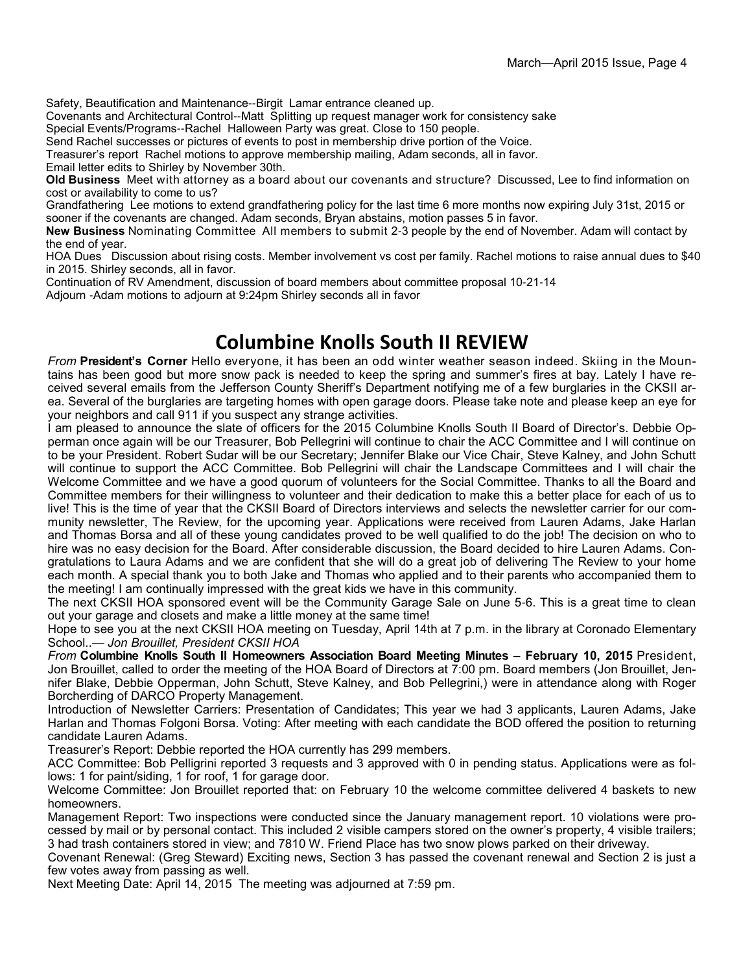Safety, Beautification and Maintenance--Birgit Lamar entrance cleaned up.

Covenants and Architectural Control--Matt Splitting up request manager work for consistency sake

Special Events/Programs--Rachel Halloween Party was great. Close to 150 people.

Send Rachel successes or pictures of events to post in membership drive portion of the Voice.

Treasurer's report Rachel motions to approve membership mailing, Adam seconds, all in favor.

Email letter edits to Shirley by November 30th.

**Old Business** Meet with attorney as a board about our covenants and structure? Discussed, Lee to find information on cost or availability to come to us?

Grandfathering Lee motions to extend grandfathering policy for the last time 6 more months now expiring July 31st, 2015 or sooner if the covenants are changed. Adam seconds, Bryan abstains, motion passes 5 in favor.

**New Business** Nominating Committee All members to submit 2-3 people by the end of November. Adam will contact by the end of year.

HOA Dues Discussion about rising costs. Member involvement vs cost per family. Rachel motions to raise annual dues to \$40 in 2015. Shirley seconds, all in favor.

Continuation of RV Amendment, discussion of board members about committee proposal 10-21-14 Adjourn -Adam motions to adjourn at 9:24pm Shirley seconds all in favor

### **Columbine Knolls South II REVIEW**

*From* **President's Corner** Hello everyone, it has been an odd winter weather season indeed. Skiing in the Mountains has been good but more snow pack is needed to keep the spring and summer's fires at bay. Lately I have received several emails from the Jefferson County Sheriff's Department notifying me of a few burglaries in the CKSII area. Several of the burglaries are targeting homes with open garage doors. Please take note and please keep an eye for your neighbors and call 911 if you suspect any strange activities.

I am pleased to announce the slate of officers for the 2015 Columbine Knolls South II Board of Director's. Debbie Opperman once again will be our Treasurer, Bob Pellegrini will continue to chair the ACC Committee and I will continue on to be your President. Robert Sudar will be our Secretary; Jennifer Blake our Vice Chair, Steve Kalney, and John Schutt will continue to support the ACC Committee. Bob Pellegrini will chair the Landscape Committees and I will chair the Welcome Committee and we have a good quorum of volunteers for the Social Committee. Thanks to all the Board and Committee members for their willingness to volunteer and their dedication to make this a better place for each of us to live! This is the time of year that the CKSII Board of Directors interviews and selects the newsletter carrier for our community newsletter, The Review, for the upcoming year. Applications were received from Lauren Adams, Jake Harlan and Thomas Borsa and all of these young candidates proved to be well qualified to do the job! The decision on who to hire was no easy decision for the Board. After considerable discussion, the Board decided to hire Lauren Adams. Congratulations to Laura Adams and we are confident that she will do a great job of delivering The Review to your home each month. A special thank you to both Jake and Thomas who applied and to their parents who accompanied them to the meeting! I am continually impressed with the great kids we have in this community.

The next CKSII HOA sponsored event will be the Community Garage Sale on June 5-6. This is a great time to clean out your garage and closets and make a little money at the same time!

Hope to see you at the next CKSII HOA meeting on Tuesday, April 14th at 7 p.m. in the library at Coronado Elementary School..— *Jon Brouillet, President CKSII HOA*

*From* **Columbine Knolls South II Homeowners Association Board Meeting Minutes – February 10, 2015** President, Jon Brouillet, called to order the meeting of the HOA Board of Directors at 7:00 pm. Board members (Jon Brouillet, Jennifer Blake, Debbie Opperman, John Schutt, Steve Kalney, and Bob Pellegrini,) were in attendance along with Roger Borcherding of DARCO Property Management.

Introduction of Newsletter Carriers: Presentation of Candidates; This year we had 3 applicants, Lauren Adams, Jake Harlan and Thomas Folgoni Borsa. Voting: After meeting with each candidate the BOD offered the position to returning candidate Lauren Adams.

Treasurer's Report: Debbie reported the HOA currently has 299 members.

ACC Committee: Bob Pelligrini reported 3 requests and 3 approved with 0 in pending status. Applications were as follows: 1 for paint/siding, 1 for roof, 1 for garage door.

Welcome Committee: Jon Brouillet reported that: on February 10 the welcome committee delivered 4 baskets to new homeowners.

Management Report: Two inspections were conducted since the January management report. 10 violations were processed by mail or by personal contact. This included 2 visible campers stored on the owner's property, 4 visible trailers; 3 had trash containers stored in view; and 7810 W. Friend Place has two snow plows parked on their driveway.

Covenant Renewal: (Greg Steward) Exciting news, Section 3 has passed the covenant renewal and Section 2 is just a few votes away from passing as well.

Next Meeting Date: April 14, 2015 The meeting was adjourned at 7:59 pm.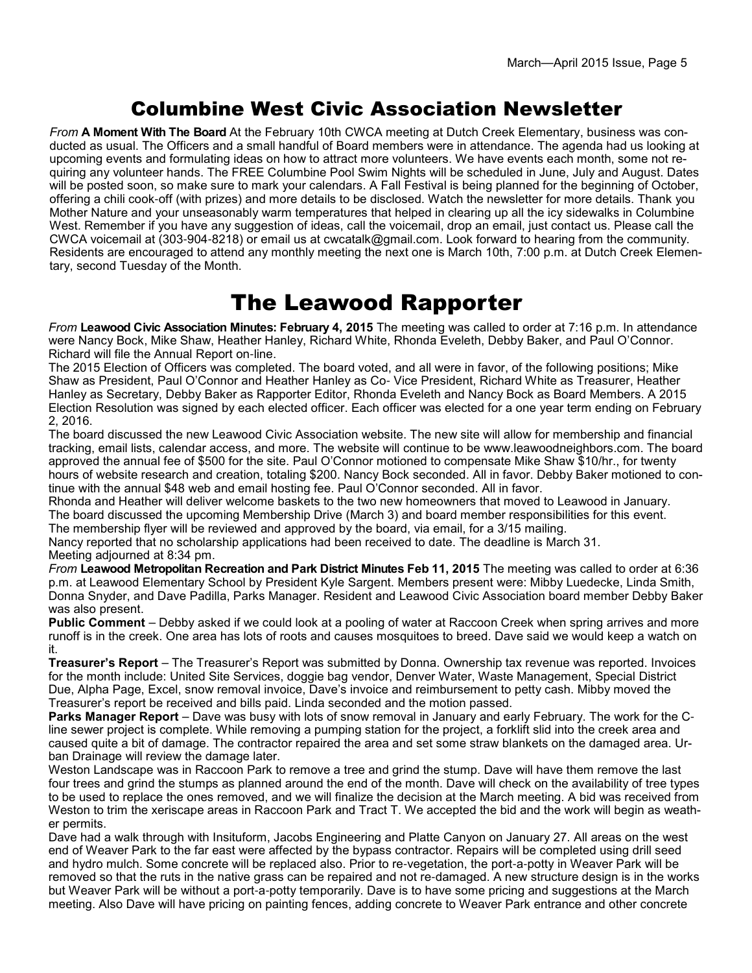### Columbine West Civic Association Newsletter

*From* **A Moment With The Board** At the February 10th CWCA meeting at Dutch Creek Elementary, business was conducted as usual. The Officers and a small handful of Board members were in attendance. The agenda had us looking at upcoming events and formulating ideas on how to attract more volunteers. We have events each month, some not requiring any volunteer hands. The FREE Columbine Pool Swim Nights will be scheduled in June, July and August. Dates will be posted soon, so make sure to mark your calendars. A Fall Festival is being planned for the beginning of October, offering a chili cook-off (with prizes) and more details to be disclosed. Watch the newsletter for more details. Thank you Mother Nature and your unseasonably warm temperatures that helped in clearing up all the icy sidewalks in Columbine West. Remember if you have any suggestion of ideas, call the voicemail, drop an email, just contact us. Please call the CWCA voicemail at (303-904-8218) or email us at cwcatalk@gmail.com. Look forward to hearing from the community. Residents are encouraged to attend any monthly meeting the next one is March 10th, 7:00 p.m. at Dutch Creek Elementary, second Tuesday of the Month.

### The Leawood Rapporter

*From* **Leawood Civic Association Minutes: February 4, 2015** The meeting was called to order at 7:16 p.m. In attendance were Nancy Bock, Mike Shaw, Heather Hanley, Richard White, Rhonda Eveleth, Debby Baker, and Paul O'Connor. Richard will file the Annual Report on-line.

The 2015 Election of Officers was completed. The board voted, and all were in favor, of the following positions; Mike Shaw as President, Paul O'Connor and Heather Hanley as Co- Vice President, Richard White as Treasurer, Heather Hanley as Secretary, Debby Baker as Rapporter Editor, Rhonda Eveleth and Nancy Bock as Board Members. A 2015 Election Resolution was signed by each elected officer. Each officer was elected for a one year term ending on February 2, 2016.

The board discussed the new Leawood Civic Association website. The new site will allow for membership and financial tracking, email lists, calendar access, and more. The website will continue to be www.leawoodneighbors.com. The board approved the annual fee of \$500 for the site. Paul O'Connor motioned to compensate Mike Shaw \$10/hr., for twenty hours of website research and creation, totaling \$200. Nancy Bock seconded. All in favor. Debby Baker motioned to continue with the annual \$48 web and email hosting fee. Paul O'Connor seconded. All in favor.

Rhonda and Heather will deliver welcome baskets to the two new homeowners that moved to Leawood in January. The board discussed the upcoming Membership Drive (March 3) and board member responsibilities for this event.

The membership flyer will be reviewed and approved by the board, via email, for a 3/15 mailing.

Nancy reported that no scholarship applications had been received to date. The deadline is March 31. Meeting adjourned at 8:34 pm.

*From* **Leawood Metropolitan Recreation and Park District Minutes Feb 11, 2015** The meeting was called to order at 6:36 p.m. at Leawood Elementary School by President Kyle Sargent. Members present were: Mibby Luedecke, Linda Smith, Donna Snyder, and Dave Padilla, Parks Manager. Resident and Leawood Civic Association board member Debby Baker was also present.

**Public Comment** – Debby asked if we could look at a pooling of water at Raccoon Creek when spring arrives and more runoff is in the creek. One area has lots of roots and causes mosquitoes to breed. Dave said we would keep a watch on it.

**Treasurer's Report** – The Treasurer's Report was submitted by Donna. Ownership tax revenue was reported. Invoices for the month include: United Site Services, doggie bag vendor, Denver Water, Waste Management, Special District Due, Alpha Page, Excel, snow removal invoice, Dave's invoice and reimbursement to petty cash. Mibby moved the Treasurer's report be received and bills paid. Linda seconded and the motion passed.

**Parks Manager Report** – Dave was busy with lots of snow removal in January and early February. The work for the Cline sewer project is complete. While removing a pumping station for the project, a forklift slid into the creek area and caused quite a bit of damage. The contractor repaired the area and set some straw blankets on the damaged area. Urban Drainage will review the damage later.

Weston Landscape was in Raccoon Park to remove a tree and grind the stump. Dave will have them remove the last four trees and grind the stumps as planned around the end of the month. Dave will check on the availability of tree types to be used to replace the ones removed, and we will finalize the decision at the March meeting. A bid was received from Weston to trim the xeriscape areas in Raccoon Park and Tract T. We accepted the bid and the work will begin as weather permits.

Dave had a walk through with Insituform, Jacobs Engineering and Platte Canyon on January 27. All areas on the west end of Weaver Park to the far east were affected by the bypass contractor. Repairs will be completed using drill seed and hydro mulch. Some concrete will be replaced also. Prior to re-vegetation, the port-a-potty in Weaver Park will be removed so that the ruts in the native grass can be repaired and not re-damaged. A new structure design is in the works but Weaver Park will be without a port-a-potty temporarily. Dave is to have some pricing and suggestions at the March meeting. Also Dave will have pricing on painting fences, adding concrete to Weaver Park entrance and other concrete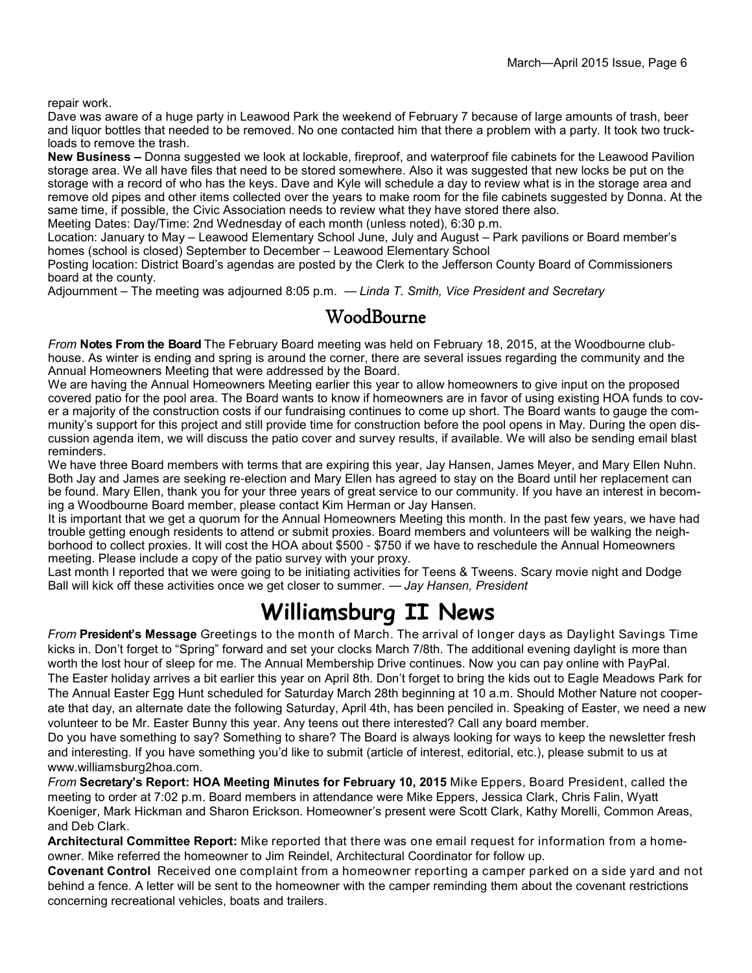repair work.

Dave was aware of a huge party in Leawood Park the weekend of February 7 because of large amounts of trash, beer and liquor bottles that needed to be removed. No one contacted him that there a problem with a party. It took two truckloads to remove the trash.

**New Business –** Donna suggested we look at lockable, fireproof, and waterproof file cabinets for the Leawood Pavilion storage area. We all have files that need to be stored somewhere. Also it was suggested that new locks be put on the storage with a record of who has the keys. Dave and Kyle will schedule a day to review what is in the storage area and remove old pipes and other items collected over the years to make room for the file cabinets suggested by Donna. At the same time, if possible, the Civic Association needs to review what they have stored there also.

Meeting Dates: Day/Time: 2nd Wednesday of each month (unless noted), 6:30 p.m.

Location: January to May – Leawood Elementary School June, July and August – Park pavilions or Board member's homes (school is closed) September to December – Leawood Elementary School

Posting location: District Board's agendas are posted by the Clerk to the Jefferson County Board of Commissioners board at the county.

Adjournment – The meeting was adjourned 8:05 p.m. — *Linda T. Smith, Vice President and Secretary*

#### WoodBourne

*From* **Notes From the Board** The February Board meeting was held on February 18, 2015, at the Woodbourne clubhouse. As winter is ending and spring is around the corner, there are several issues regarding the community and the Annual Homeowners Meeting that were addressed by the Board.

We are having the Annual Homeowners Meeting earlier this year to allow homeowners to give input on the proposed covered patio for the pool area. The Board wants to know if homeowners are in favor of using existing HOA funds to cover a majority of the construction costs if our fundraising continues to come up short. The Board wants to gauge the community's support for this project and still provide time for construction before the pool opens in May. During the open discussion agenda item, we will discuss the patio cover and survey results, if available. We will also be sending email blast reminders.

We have three Board members with terms that are expiring this year, Jay Hansen, James Meyer, and Mary Ellen Nuhn. Both Jay and James are seeking re-election and Mary Ellen has agreed to stay on the Board until her replacement can be found. Mary Ellen, thank you for your three years of great service to our community. If you have an interest in becoming a Woodbourne Board member, please contact Kim Herman or Jay Hansen.

It is important that we get a quorum for the Annual Homeowners Meeting this month. In the past few years, we have had trouble getting enough residents to attend or submit proxies. Board members and volunteers will be walking the neighborhood to collect proxies. It will cost the HOA about \$500 - \$750 if we have to reschedule the Annual Homeowners meeting. Please include a copy of the patio survey with your proxy.

Last month I reported that we were going to be initiating activities for Teens & Tweens. Scary movie night and Dodge Ball will kick off these activities once we get closer to summer. — *Jay Hansen, President*

## **Williamsburg II News**

*From* **President's Message** Greetings to the month of March. The arrival of longer days as Daylight Savings Time kicks in. Don't forget to "Spring" forward and set your clocks March 7/8th. The additional evening daylight is more than worth the lost hour of sleep for me. The Annual Membership Drive continues. Now you can pay online with PayPal. The Easter holiday arrives a bit earlier this year on April 8th. Don't forget to bring the kids out to Eagle Meadows Park for The Annual Easter Egg Hunt scheduled for Saturday March 28th beginning at 10 a.m. Should Mother Nature not cooperate that day, an alternate date the following Saturday, April 4th, has been penciled in. Speaking of Easter, we need a new volunteer to be Mr. Easter Bunny this year. Any teens out there interested? Call any board member.

Do you have something to say? Something to share? The Board is always looking for ways to keep the newsletter fresh and interesting. If you have something you'd like to submit (article of interest, editorial, etc.), please submit to us at www.williamsburg2hoa.com.

*From* **Secretary's Report: HOA Meeting Minutes for February 10, 2015** Mike Eppers, Board President, called the meeting to order at 7:02 p.m. Board members in attendance were Mike Eppers, Jessica Clark, Chris Falin, Wyatt Koeniger, Mark Hickman and Sharon Erickson. Homeowner's present were Scott Clark, Kathy Morelli, Common Areas, and Deb Clark.

**Architectural Committee Report:** Mike reported that there was one email request for information from a homeowner. Mike referred the homeowner to Jim Reindel, Architectural Coordinator for follow up.

**Covenant Control** Received one complaint from a homeowner reporting a camper parked on a side yard and not behind a fence. A letter will be sent to the homeowner with the camper reminding them about the covenant restrictions concerning recreational vehicles, boats and trailers.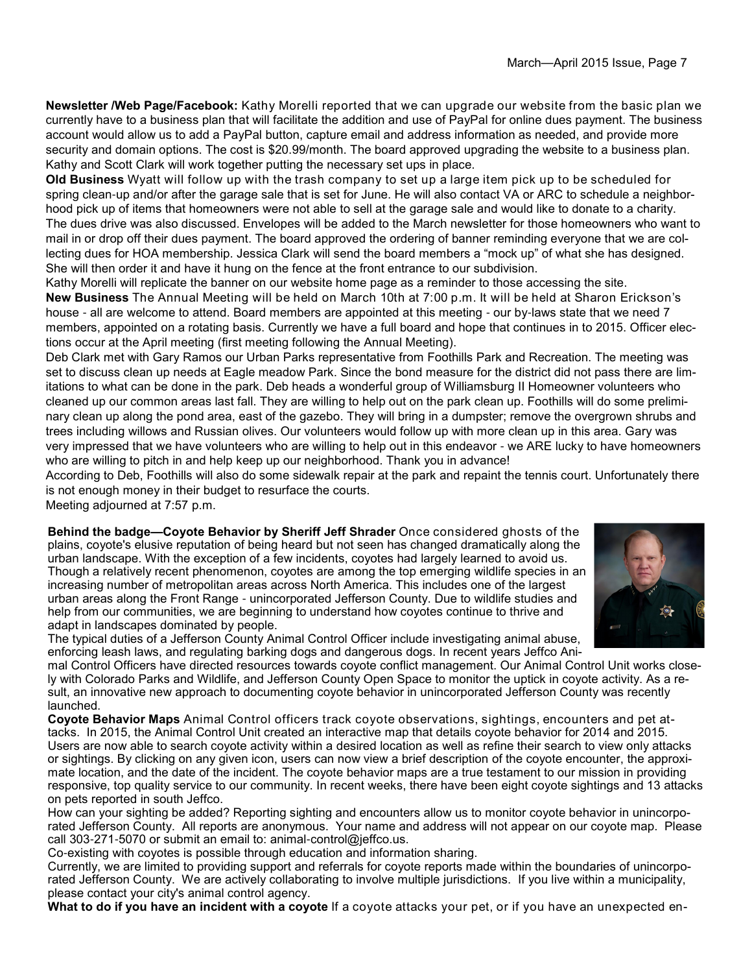**Newsletter /Web Page/Facebook:** Kathy Morelli reported that we can upgrade our website from the basic plan we currently have to a business plan that will facilitate the addition and use of PayPal for online dues payment. The business account would allow us to add a PayPal button, capture email and address information as needed, and provide more security and domain options. The cost is \$20.99/month. The board approved upgrading the website to a business plan. Kathy and Scott Clark will work together putting the necessary set ups in place.

**Old Business** Wyatt will follow up with the trash company to set up a large item pick up to be scheduled for spring clean-up and/or after the garage sale that is set for June. He will also contact VA or ARC to schedule a neighborhood pick up of items that homeowners were not able to sell at the garage sale and would like to donate to a charity. The dues drive was also discussed. Envelopes will be added to the March newsletter for those homeowners who want to mail in or drop off their dues payment. The board approved the ordering of banner reminding everyone that we are collecting dues for HOA membership. Jessica Clark will send the board members a "mock up" of what she has designed. She will then order it and have it hung on the fence at the front entrance to our subdivision.

Kathy Morelli will replicate the banner on our website home page as a reminder to those accessing the site. **New Business** The Annual Meeting will be held on March 10th at 7:00 p.m. It will be held at Sharon Erickson's house - all are welcome to attend. Board members are appointed at this meeting - our by-laws state that we need 7 members, appointed on a rotating basis. Currently we have a full board and hope that continues in to 2015. Officer elections occur at the April meeting (first meeting following the Annual Meeting).

Deb Clark met with Gary Ramos our Urban Parks representative from Foothills Park and Recreation. The meeting was set to discuss clean up needs at Eagle meadow Park. Since the bond measure for the district did not pass there are limitations to what can be done in the park. Deb heads a wonderful group of Williamsburg II Homeowner volunteers who cleaned up our common areas last fall. They are willing to help out on the park clean up. Foothills will do some preliminary clean up along the pond area, east of the gazebo. They will bring in a dumpster; remove the overgrown shrubs and trees including willows and Russian olives. Our volunteers would follow up with more clean up in this area. Gary was very impressed that we have volunteers who are willing to help out in this endeavor - we ARE lucky to have homeowners who are willing to pitch in and help keep up our neighborhood. Thank you in advance!

According to Deb, Foothills will also do some sidewalk repair at the park and repaint the tennis court. Unfortunately there is not enough money in their budget to resurface the courts.

Meeting adjourned at 7:57 p.m.

**Behind the badge—Coyote Behavior by Sheriff Jeff Shrader** Once considered ghosts of the plains, coyote's elusive reputation of being heard but not seen has changed dramatically along the urban landscape. With the exception of a few incidents, coyotes had largely learned to avoid us. Though a relatively recent phenomenon, coyotes are among the top emerging wildlife species in an increasing number of metropolitan areas across North America. This includes one of the largest urban areas along the Front Range - unincorporated Jefferson County. Due to wildlife studies and help from our communities, we are beginning to understand how coyotes continue to thrive and adapt in landscapes dominated by people.



The typical duties of a Jefferson County Animal Control Officer include investigating animal abuse, enforcing leash laws, and regulating barking dogs and dangerous dogs. In recent years Jeffco Ani-

mal Control Officers have directed resources towards coyote conflict management. Our Animal Control Unit works closely with Colorado Parks and Wildlife, and Jefferson County Open Space to monitor the uptick in coyote activity. As a result, an innovative new approach to documenting coyote behavior in unincorporated Jefferson County was recently launched.

**Coyote Behavior Maps** Animal Control officers track coyote observations, sightings, encounters and pet attacks. In 2015, the Animal Control Unit created an interactive map that details coyote behavior for 2014 and 2015. Users are now able to search coyote activity within a desired location as well as refine their search to view only attacks or sightings. By clicking on any given icon, users can now view a brief description of the coyote encounter, the approximate location, and the date of the incident. The coyote behavior maps are a true testament to our mission in providing responsive, top quality service to our community. In recent weeks, there have been eight coyote sightings and 13 attacks on pets reported in south Jeffco.

How can your sighting be added? Reporting sighting and encounters allow us to monitor coyote behavior in unincorporated Jefferson County. All reports are anonymous. Your name and address will not appear on our coyote map. Please call 303-271-5070 or submit an email to: animal-control@jeffco.us.

Co-existing with coyotes is possible through education and information sharing.

Currently, we are limited to providing support and referrals for coyote reports made within the boundaries of unincorporated Jefferson County. We are actively collaborating to involve multiple jurisdictions. If you live within a municipality, please contact your city's animal control agency.

**What to do if you have an incident with a coyote** If a coyote attacks your pet, or if you have an unexpected en-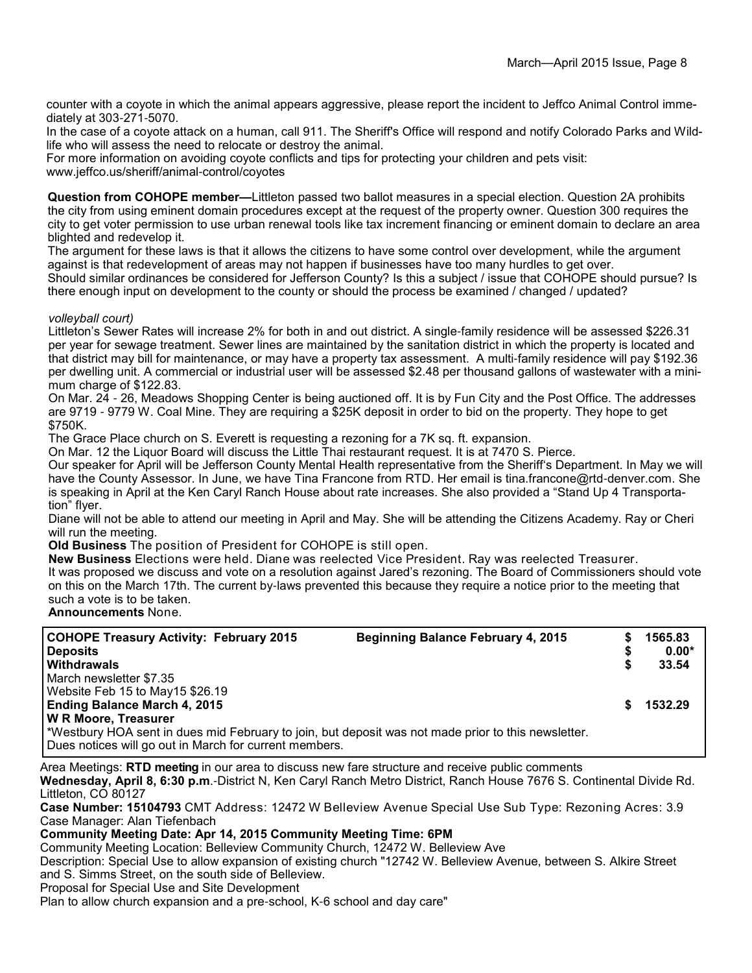counter with a coyote in which the animal appears aggressive, please report the incident to Jeffco Animal Control immediately at 303-271-5070.

In the case of a coyote attack on a human, call 911. The Sheriff's Office will respond and notify Colorado Parks and Wildlife who will assess the need to relocate or destroy the animal.

For more information on avoiding coyote conflicts and tips for protecting your children and pets visit: www.jeffco.us/sheriff/animal-control/coyotes

**Question from COHOPE member—**Littleton passed two ballot measures in a special election. Question 2A prohibits the city from using eminent domain procedures except at the request of the property owner. Question 300 requires the city to get voter permission to use urban renewal tools like tax increment financing or eminent domain to declare an area blighted and redevelop it.

The argument for these laws is that it allows the citizens to have some control over development, while the argument against is that redevelopment of areas may not happen if businesses have too many hurdles to get over. Should similar ordinances be considered for Jefferson County? Is this a subject / issue that COHOPE should pursue? Is there enough input on development to the county or should the process be examined / changed / updated?

#### *volleyball court)*

Littleton's Sewer Rates will increase 2% for both in and out district. A single-family residence will be assessed \$226.31 per year for sewage treatment. Sewer lines are maintained by the sanitation district in which the property is located and that district may bill for maintenance, or may have a property tax assessment. A multi-family residence will pay \$192.36 per dwelling unit. A commercial or industrial user will be assessed \$2.48 per thousand gallons of wastewater with a minimum charge of \$122.83.

On Mar. 24 - 26, Meadows Shopping Center is being auctioned off. It is by Fun City and the Post Office. The addresses are 9719 - 9779 W. Coal Mine. They are requiring a \$25K deposit in order to bid on the property. They hope to get \$750K.

The Grace Place church on S. Everett is requesting a rezoning for a 7K sq. ft. expansion.

On Mar. 12 the Liquor Board will discuss the Little Thai restaurant request. It is at 7470 S. Pierce.

Our speaker for April will be Jefferson County Mental Health representative from the Sheriff's Department. In May we will have the County Assessor. In June, we have Tina Francone from RTD. Her email is tina.francone@rtd-denver.com. She is speaking in April at the Ken Caryl Ranch House about rate increases. She also provided a "Stand Up 4 Transportation" flyer.

Diane will not be able to attend our meeting in April and May. She will be attending the Citizens Academy. Ray or Cheri will run the meeting.

**Old Business** The position of President for COHOPE is still open.

**New Business** Elections were held. Diane was reelected Vice President. Ray was reelected Treasurer.

It was proposed we discuss and vote on a resolution against Jared's rezoning. The Board of Commissioners should vote on this on the March 17th. The current by-laws prevented this because they require a notice prior to the meeting that such a vote is to be taken.

#### **Announcements** None.

| <b>COHOPE Treasury Activity: February 2015</b><br><b>Deposits</b><br><b>Withdrawals</b>             | <b>Beginning Balance February 4, 2015</b><br>S<br>S<br>S | 1565.83<br>$0.00*$<br>33.54 |
|-----------------------------------------------------------------------------------------------------|----------------------------------------------------------|-----------------------------|
| l March newsletter \$7.35                                                                           |                                                          |                             |
| Website Feb 15 to May 15 \$26.19                                                                    |                                                          |                             |
| <b>Ending Balance March 4, 2015</b>                                                                 |                                                          | 1532.29                     |
| IW R Moore. Treasurer                                                                               |                                                          |                             |
| *Westbury HOA sent in dues mid February to join, but deposit was not made prior to this newsletter. |                                                          |                             |
| Dues notices will go out in March for current members.                                              |                                                          |                             |

Area Meetings: **RTD meeting** in our area to discuss new fare structure and receive public comments

**Wednesday, April 8, 6:30 p.m**.-District N, Ken Caryl Ranch Metro District, Ranch House 7676 S. Continental Divide Rd. Littleton, CO 80127

**Case Number: 15104793** CMT Address: 12472 W Belleview Avenue Special Use Sub Type: Rezoning Acres: 3.9 Case Manager: Alan Tiefenbach

**Community Meeting Date: Apr 14, 2015 Community Meeting Time: 6PM**

Community Meeting Location: Belleview Community Church, 12472 W. Belleview Ave

Description: Special Use to allow expansion of existing church "12742 W. Belleview Avenue, between S. Alkire Street and S. Simms Street, on the south side of Belleview.

Proposal for Special Use and Site Development

Plan to allow church expansion and a pre-school, K-6 school and day care"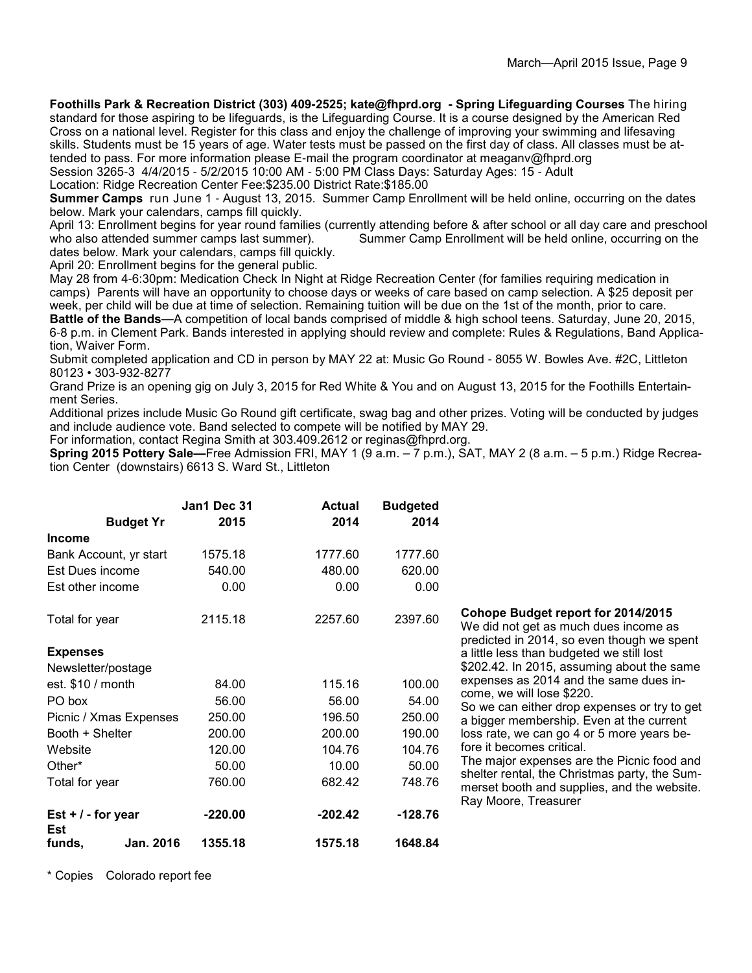**Foothills Park & Recreation District (303) 409-2525; kate@fhprd.org - Spring Lifeguarding Courses** The hiring

standard for those aspiring to be lifeguards, is the Lifeguarding Course. It is a course designed by the American Red Cross on a national level. Register for this class and enjoy the challenge of improving your swimming and lifesaving skills. Students must be 15 years of age. Water tests must be passed on the first day of class. All classes must be attended to pass. For more information please E-mail the program coordinator at meaganv@fhprd.org

Session 3265-3 4/4/2015 - 5/2/2015 10:00 AM - 5:00 PM Class Days: Saturday Ages: 15 - Adult Location: Ridge Recreation Center Fee:\$235.00 District Rate:\$185.00

**Summer Camps** run June 1 - August 13, 2015. Summer Camp Enrollment will be held online, occurring on the dates below. Mark your calendars, camps fill quickly.

April 13: Enrollment begins for year round families (currently attending before & after school or all day care and preschool who also attended summer camps last summer). Summer Camp Enrollment will be held online, occurrin Summer Camp Enrollment will be held online, occurring on the dates below. Mark your calendars, camps fill quickly.

April 20: Enrollment begins for the general public.

May 28 from 4-6:30pm: Medication Check In Night at Ridge Recreation Center (for families requiring medication in camps) Parents will have an opportunity to choose days or weeks of care based on camp selection. A \$25 deposit per week, per child will be due at time of selection. Remaining tuition will be due on the 1st of the month, prior to care.

**Battle of the Bands**—A competition of local bands comprised of middle & high school teens. Saturday, June 20, 2015, 6-8 p.m. in Clement Park. Bands interested in applying should review and complete: Rules & Regulations, Band Application, Waiver Form.

Submit completed application and CD in person by MAY 22 at: Music Go Round - 8055 W. Bowles Ave. #2C, Littleton 80123 • 303-932-8277

Grand Prize is an opening gig on July 3, 2015 for Red White & You and on August 13, 2015 for the Foothills Entertainment Series.

Additional prizes include Music Go Round gift certificate, swag bag and other prizes. Voting will be conducted by judges and include audience vote. Band selected to compete will be notified by MAY 29.

For information, contact Regina Smith at 303.409.2612 or reginas@fhprd.org.

**Spring 2015 Pottery Sale—**Free Admission FRI, MAY 1 (9 a.m. – 7 p.m.), SAT, MAY 2 (8 a.m. – 5 p.m.) Ridge Recreation Center (downstairs) 6613 S. Ward St., Littleton

|                             | Jan1 Dec 31 | <b>Actual</b> | <b>Budgeted</b> |                                                                                                                           |
|-----------------------------|-------------|---------------|-----------------|---------------------------------------------------------------------------------------------------------------------------|
| <b>Budget Yr</b>            | 2015        | 2014          | 2014            |                                                                                                                           |
| <b>Income</b>               |             |               |                 |                                                                                                                           |
| Bank Account, yr start      | 1575.18     | 1777.60       | 1777.60         |                                                                                                                           |
| Est Dues income             | 540.00      | 480.00        | 620.00          |                                                                                                                           |
| Est other income            | 0.00        | 0.00          | 0.00            |                                                                                                                           |
| Total for year              | 2115.18     | 2257.60       | 2397.60         | Cohope Budget report for 2014/2015<br>We did not get as much dues income as<br>predicted in 2014, so even though we spent |
| <b>Expenses</b>             |             |               |                 | a little less than budgeted we still lost                                                                                 |
| Newsletter/postage          |             |               |                 | \$202.42. In 2015, assuming about the same                                                                                |
| est. $$10 / month$          | 84.00       | 115.16        | 100.00          | expenses as 2014 and the same dues in-                                                                                    |
| PO box                      | 56.00       | 56.00         | 54.00           | come, we will lose \$220.<br>So we can either drop expenses or try to get                                                 |
| Picnic / Xmas Expenses      | 250.00      | 196.50        | 250.00          | a bigger membership. Even at the current                                                                                  |
| Booth + Shelter             | 200.00      | 200.00        | 190.00          | loss rate, we can go 4 or 5 more years be-                                                                                |
| Website                     | 120.00      | 104.76        | 104.76          | fore it becomes critical.                                                                                                 |
| Other*                      | 50.00       | 10.00         | 50.00           | The major expenses are the Picnic food and                                                                                |
| Total for year              | 760.00      | 682.42        | 748.76          | shelter rental, the Christmas party, the Sum-<br>merset booth and supplies, and the website.<br>Ray Moore, Treasurer      |
| Est $+$ / - for year<br>Est | $-220.00$   | $-202.42$     | $-128.76$       |                                                                                                                           |
| Jan. 2016<br>funds,         | 1355.18     | 1575.18       | 1648.84         |                                                                                                                           |

\* Copies Colorado report fee